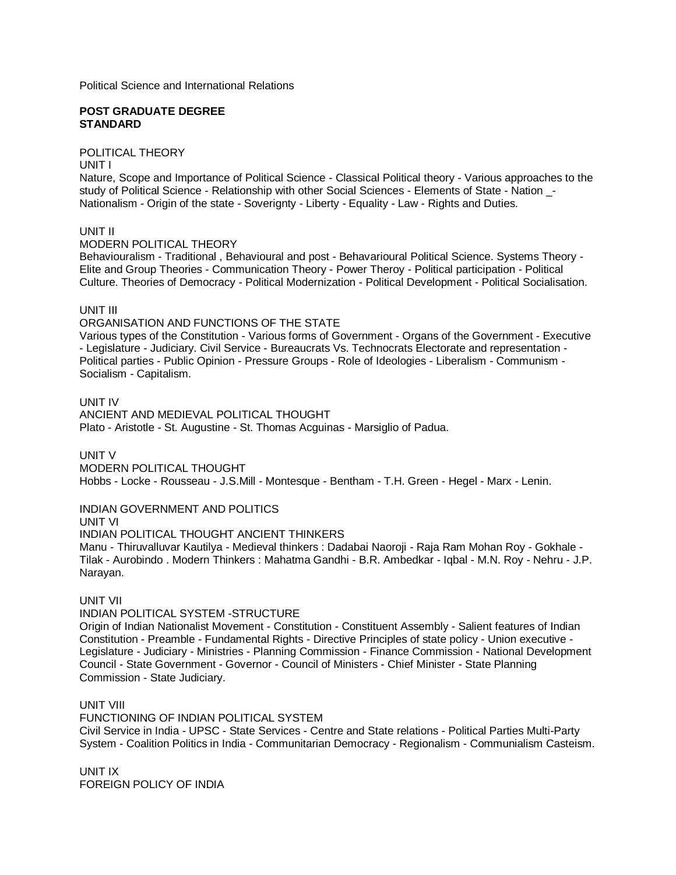Political Science and International Relations

#### **POST GRADUATE DEGREE STANDARD**

POLITICAL THEORY

UNIT I

Nature, Scope and Importance of Political Science - Classical Political theory - Various approaches to the study of Political Science - Relationship with other Social Sciences - Elements of State - Nation \_- Nationalism - Origin of the state - Soverignty - Liberty - Equality - Law - Rights and Duties.

UNIT II

MODERN POLITICAL THEORY

Behaviouralism - Traditional , Behavioural and post - Behavarioural Political Science. Systems Theory - Elite and Group Theories - Communication Theory - Power Theroy - Political participation - Political Culture. Theories of Democracy - Political Modernization - Political Development - Political Socialisation.

## UNIT III

ORGANISATION AND FUNCTIONS OF THE STATE

Various types of the Constitution - Various forms of Government - Organs of the Government - Executive - Legislature - Judiciary. Civil Service - Bureaucrats Vs. Technocrats Electorate and representation - Political parties - Public Opinion - Pressure Groups - Role of Ideologies - Liberalism - Communism - Socialism - Capitalism.

UNIT IV

ANCIENT AND MEDIEVAL POLITICAL THOUGHT Plato - Aristotle - St. Augustine - St. Thomas Acguinas - Marsiglio of Padua.

UNIT V

MODERN POLITICAL THOUGHT Hobbs - Locke - Rousseau - J.S.Mill - Montesque - Bentham - T.H. Green - Hegel - Marx - Lenin.

INDIAN GOVERNMENT AND POLITICS

UNIT VI

INDIAN POLITICAL THOUGHT ANCIENT THINKERS

Manu - Thiruvalluvar Kautilya - Medieval thinkers : Dadabai Naoroji - Raja Ram Mohan Roy - Gokhale - Tilak - Aurobindo . Modern Thinkers : Mahatma Gandhi - B.R. Ambedkar - Iqbal - M.N. Roy - Nehru - J.P. Narayan.

UNIT VII

INDIAN POLITICAL SYSTEM -STRUCTURE

Origin of Indian Nationalist Movement - Constitution - Constituent Assembly - Salient features of Indian Constitution - Preamble - Fundamental Rights - Directive Principles of state policy - Union executive - Legislature - Judiciary - Ministries - Planning Commission - Finance Commission - National Development Council - State Government - Governor - Council of Ministers - Chief Minister - State Planning Commission - State Judiciary.

# UNIT VIII

FUNCTIONING OF INDIAN POLITICAL SYSTEM Civil Service in India - UPSC - State Services - Centre and State relations - Political Parties Multi-Party System - Coalition Politics in India - Communitarian Democracy - Regionalism - Communialism Casteism.

UNIT IX FOREIGN POLICY OF INDIA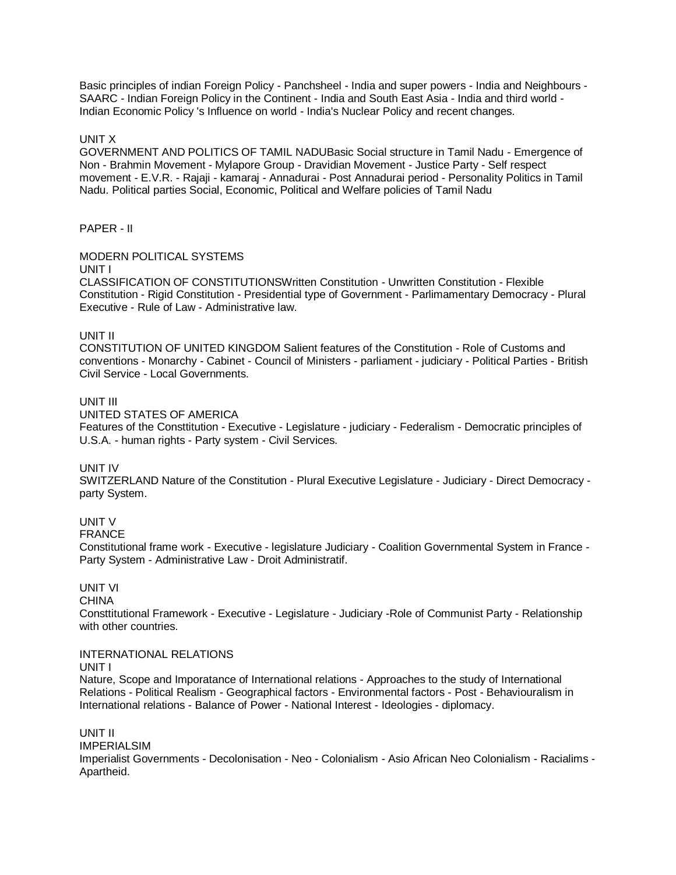Basic principles of indian Foreign Policy - Panchsheel - India and super powers - India and Neighbours - SAARC - Indian Foreign Policy in the Continent - India and South East Asia - India and third world - Indian Economic Policy 's Influence on world - India's Nuclear Policy and recent changes.

### UNIT X

GOVERNMENT AND POLITICS OF TAMIL NADUBasic Social structure in Tamil Nadu - Emergence of Non - Brahmin Movement - Mylapore Group - Dravidian Movement - Justice Party - Self respect movement - E.V.R. - Rajaji - kamaraj - Annadurai - Post Annadurai period - Personality Politics in Tamil Nadu. Political parties Social, Economic, Political and Welfare policies of Tamil Nadu

## PAPER - II

## MODERN POLITICAL SYSTEMS

#### UNIT I

CLASSIFICATION OF CONSTITUTIONSWritten Constitution - Unwritten Constitution - Flexible Constitution - Rigid Constitution - Presidential type of Government - Parlimamentary Democracy - Plural Executive - Rule of Law - Administrative law.

### UNIT II

CONSTITUTION OF UNITED KINGDOM Salient features of the Constitution - Role of Customs and conventions - Monarchy - Cabinet - Council of Ministers - parliament - judiciary - Political Parties - British Civil Service - Local Governments.

## UNIT III

UNITED STATES OF AMERICA

Features of the Consttitution - Executive - Legislature - judiciary - Federalism - Democratic principles of U.S.A. - human rights - Party system - Civil Services.

### UNIT IV

SWITZERLAND Nature of the Constitution - Plural Executive Legislature - Judiciary - Direct Democracy party System.

# UNIT V

FRANCE

Constitutional frame work - Executive - legislature Judiciary - Coalition Governmental System in France - Party System - Administrative Law - Droit Administratif.

# UNIT VI

**CHINA** 

Consttitutional Framework - Executive - Legislature - Judiciary -Role of Communist Party - Relationship with other countries.

### INTERNATIONAL RELATIONS

UNIT I

Nature, Scope and Imporatance of International relations - Approaches to the study of International Relations - Political Realism - Geographical factors - Environmental factors - Post - Behaviouralism in International relations - Balance of Power - National Interest - Ideologies - diplomacy.

UNIT II IMPERIALSIM Imperialist Governments - Decolonisation - Neo - Colonialism - Asio African Neo Colonialism - Racialims - Apartheid.